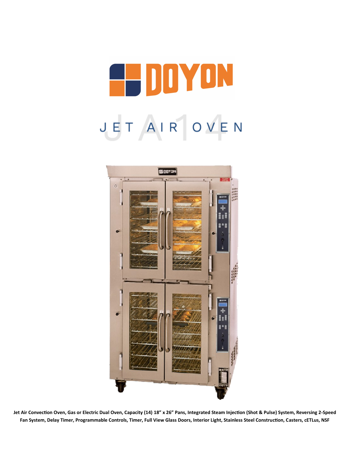



**Jet Air Convection Oven, Gas or Electric Dual Oven, Capacity (14) 18" x 26" Pans, Integrated Steam Injection (Shot & Pulse) System, Reversing 2-Speed Fan System, Delay Timer, Programmable Controls, Timer, Full View Glass Doors, Interior Light, Stainless Steel Construction, Casters, cETLus, NSF**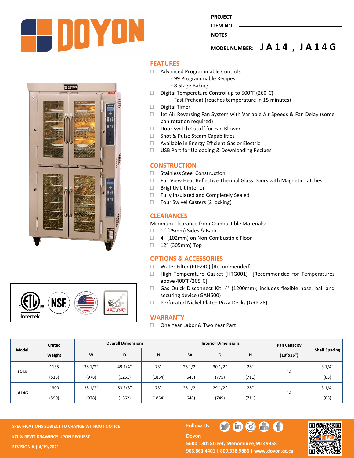

| PROJEC |
|--------|
|        |

#### **ITEM NO. NOTES**

**MODEL NUMBER: J A 1 4 , J A 1 4 G**





#### **FEATURES**

- Advanced Programmable Controls
	- 99 Programmable Recipes
	- 8 Stage Baking
- Digital Temperature Control up to  $500^{\circ}$ F (260 $^{\circ}$ C)
	- Fast Preheat (reaches temperature in 15 minutes)
- Digital Timer
- □ Jet Air Reversing Fan System with Variable Air Speeds & Fan Delay (some pan rotation required)
- Door Switch Cutoff for Fan Blower
- □ Shot & Pulse Steam Capabilities
- □ Available in Energy Efficient Gas or Electric
- □ USB Port for Uploading & Downloading Recipes

#### **CONSTRUCTION**

- □ Stainless Steel Construction
- □ Full View Heat Reflective Thermal Glass Doors with Magnetic Latches
- □ Brightly Lit Interior
- □ Fully Insulated and Completely Sealed
- □ Four Swivel Casters (2 locking)

## **CLEARANCES**

Minimum Clearance from Combustible Materials:

- 1" (25mm) Sides & Back
- □ 4" (102mm) on Non-Combustible Floor
- □ 12" (305mm) Top

## **OPTIONS & ACCESSORIES**

- □ Water Filter (PLF240) [Recommended]
- □ High Temperature Gasket (HTG001) [Recommended for Temperatures above 400°F/205°C]
- Gas Quick Disconnect Kit: 4' (1200mm); includes flexible hose, ball and securing device (GAH600)
- □ Perforated Nickel Plated Pizza Decks (GRPIZ8)

#### **WARRANTY**

□ One Year Labor & Two Year Part

|             | Crated | <b>Overall Dimensions</b> |         |        | <b>Interior Dimensions</b> |         |       | <b>Pan Capacity</b> |                      |
|-------------|--------|---------------------------|---------|--------|----------------------------|---------|-------|---------------------|----------------------|
| Model       | Weight | W                         | D       | н      | W                          | D       | н     | (18"x26")           | <b>Shelf Spacing</b> |
| <b>JA14</b> | 1135   | 38 1/2"                   | 49 1/4" | 73''   | 251/2"                     | 301/2"  | 28''  |                     | 31/4"                |
|             | (515)  | (978)                     | (1251)  | (1854) | (648)                      | (775)   | (711) | 14                  | (83)                 |
| JA14G       | 1300   | 38 1/2"                   | 53 3/8" | 73''   | 251/2"                     | 29 1/2" | 28''  |                     | 31/4"                |
|             | (590)  | (978)                     | (1362)  | (1854) | (648)                      | (749)   | (711) | 14                  | (83)                 |

**SPECIFICATIONS SUBJECT TO CHANGE WITHOUT NOTICE Follow Us KCL & REVIT DRAWINGS UPON REQUEST REVISION A | 4/19/2021**

# **Doyon**



5600 13th Street, Menominee, MI 49858 **906.863.4401 | 800.338.9886 | [www.doyon.qc.ca](http://www.doyon.qc.ca/)**

 $\bullet$   $\bullet$